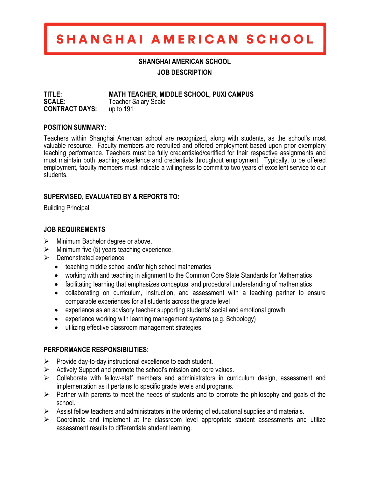# SHANGHAI AMERICAN SCHOOL

#### **SHANGHAI AMERICAN SCHOOL**

**JOB DESCRIPTION**

**TITLE: MATH TEACHER, MIDDLE SCHOOL, PUXI CAMPUS** Teacher Salary Scale<br>up to 191 **CONTRACT DAYS:** 

#### **POSITION SUMMARY:**

Teachers within Shanghai American school are recognized, along with students, as the school's most valuable resource. Faculty members are recruited and offered employment based upon prior exemplary teaching performance. Teachers must be fully credentialed/certified for their respective assignments and must maintain both teaching excellence and credentials throughout employment. Typically, to be offered employment, faculty members must indicate a willingness to commit to two years of excellent service to our students.

### **SUPERVISED, EVALUATED BY & REPORTS TO:**

Building Principal

# **JOB REQUIREMENTS**

- $\triangleright$  Minimum Bachelor degree or above.
- $\triangleright$  Minimum five (5) years teaching experience.
- $\triangleright$  Demonstrated experience
	- teaching middle school and/or high school mathematics
	- working with and teaching in alignment to the Common Core State Standards for Mathematics
	- facilitating learning that emphasizes conceptual and procedural understanding of mathematics
	- collaborating on curriculum, instruction, and assessment with a teaching partner to ensure comparable experiences for all students across the grade level
	- experience as an advisory teacher supporting students' social and emotional growth
	- experience working with learning management systems (e.g. Schoology)
	- utilizing effective classroom management strategies

#### **PERFORMANCE RESPONSIBILITIES:**

- $\triangleright$  Provide day-to-day instructional excellence to each student.
- $\triangleright$  Actively Support and promote the school's mission and core values.
- $\triangleright$  Collaborate with fellow-staff members and administrators in curriculum design, assessment and implementation as it pertains to specific grade levels and programs.
- $\triangleright$  Partner with parents to meet the needs of students and to promote the philosophy and goals of the school.
- $\triangleright$  Assist fellow teachers and administrators in the ordering of educational supplies and materials.
- $\triangleright$  Coordinate and implement at the classroom level appropriate student assessments and utilize assessment results to differentiate student learning.